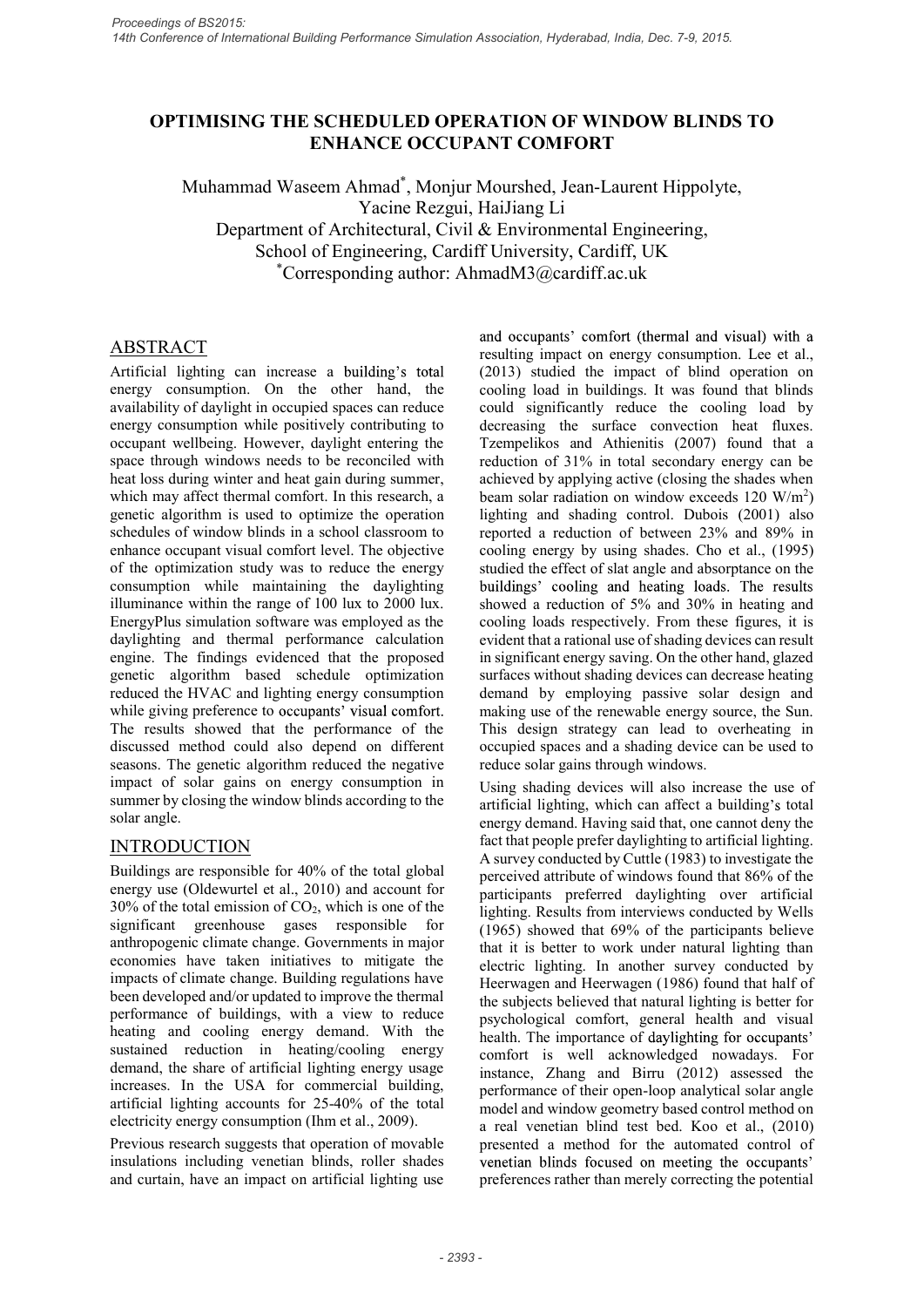# OPTIMISING THE SCHEDULED OPERATION OF WINDOW BLINDS TO ENHANCE OCCUPANT COMFORT

Muhammad Waseem Ahmad\* , Monjur Mourshed, Jean-Laurent Hippolyte, Yacine Rezgui, HaiJiang Li Department of Architectural, Civil & Environmental Engineering,

School of Engineering, Cardiff University, Cardiff, UK<br>
\*Corresponding author: AhmadM3@cardiff.ac.uk

# ABSTRACT

Artificial lighting can increase a building's total energy consumption. On the other hand, the availability of daylight in occupied spaces can reduce energy consumption while positively contributing to occupant wellbeing. However, daylight entering the space through windows needs to be reconciled with heat loss during winter and heat gain during summer, which may affect thermal comfort. In this research, a genetic algorithm is used to optimize the operation schedules of window blinds in a school classroom to enhance occupant visual comfort level. The objective of the optimization study was to reduce the energy studied the effect of slat angle and absorptance on the consumption while maintaining the daylighting buildings' cooling and heating loads. The results consumption while maintaining the daylighting illuminance within the range of 100 lux to 2000 lux. EnergyPlus simulation software was employed as the daylighting and thermal performance calculation engine. The findings evidenced that the proposed in significant energy saving. On the other hand, glazed genetic algorithm based schedule optimization reduced the HVAC and lighting energy consumption while giving preference to occupants' visual comfort. The results showed that the performance of the discussed method could also depend on different seasons. The genetic algorithm reduced the negative impact of solar gains on energy consumption in summer by closing the window blinds according to the artificial lighting, which can affect a building's total solar angle.

## **INTRODUCTION**

Buildings are responsible for 40% of the total global energy use (Oldewurtel et al., 2010) and account for  $30\%$  of the total emission of CO<sub>2</sub>, which is one of the significant greenhouse gases responsible for anthropogenic climate change. Governments in major economies have taken initiatives to mitigate the impacts of climate change. Building regulations have been developed and/or updated to improve the thermal performance of buildings, with a view to reduce heating and cooling energy demand. With the sustained reduction in heating/cooling energy demand, the share of artificial lighting energy usage increases. In the USA for commercial building, artificial lighting accounts for 25-40% of the total electricity energy consumption (Ihm et al., 2009).

Previous research suggests that operation of movable insulations including venetian blinds, roller shades venetian blinds focused on meeting the occupants' and curtain, have an impact on artificial lighting use

resulting impact on energy consumption. Lee et al., (2013) studied the impact of blind operation on cooling load in buildings. It was found that blinds could significantly reduce the cooling load by decreasing the surface convection heat fluxes. Tzempelikos and Athienitis (2007) found that a reduction of 31% in total secondary energy can be achieved by applying active (closing the shades when beam solar radiation on window exceeds  $120 \text{ W/m}^2$ )  $\left( \frac{1}{2} \right)$ lighting and shading control. Dubois (2001) also reported a reduction of between 23% and 89% in cooling energy by using shades. Cho et al., (1995) studied the effect of slat angle and absorptance on the showed a reduction of 5% and 30% in heating and cooling loads respectively. From these figures, it is evident that a rational use of shading devices can result I curversity, exactif ac.uk<br>
and occupants' comfort (thermal and visual) with a<br>
resulting impact on energy consumption. Lee et al.,<br>
resulting impact on energy consumption. Lee et al.,<br>
(2013) studied the impact of blind surfaces without shading devices can decrease heating demand by employing passive solar design and making use of the renewable energy source, the Sun. This design strategy can lead to overheating in occupied spaces and a shading device can be used to reduce solar gains through windows. could significantly reduce the cooling load by<br>decreasing the surface convection heat fluxes.<br>Tzempelikos and Athienitis (2007) found that a<br>reduction of 31% in total secondary energy can be<br>achieved by applying active (cl

Using shading devices will also increase the use of energy demand. Having said that, one cannot deny the fact that people prefer daylighting to artificial lighting. A survey conducted by Cuttle (1983) to investigate the perceived attribute of windows found that 86% of the participants preferred daylighting over artificial lighting. Results from interviews conducted by Wells (1965) showed that 69% of the participants believe that it is better to work under natural lighting than electric lighting. In another survey conducted by Heerwagen and Heerwagen (1986) found that half of the subjects believed that natural lighting is better for psychological comfort, general health and visual health. The importance of daylighting for occupants' comfort is well acknowledged nowadays. For instance, Zhang and Birru (2012) assessed the performance of their open-loop analytical solar angle model and window geometry based control method on a real venetian blind test bed. Koo et al., (2010) presented a method for the automated control of preferences rather than merely correcting the potential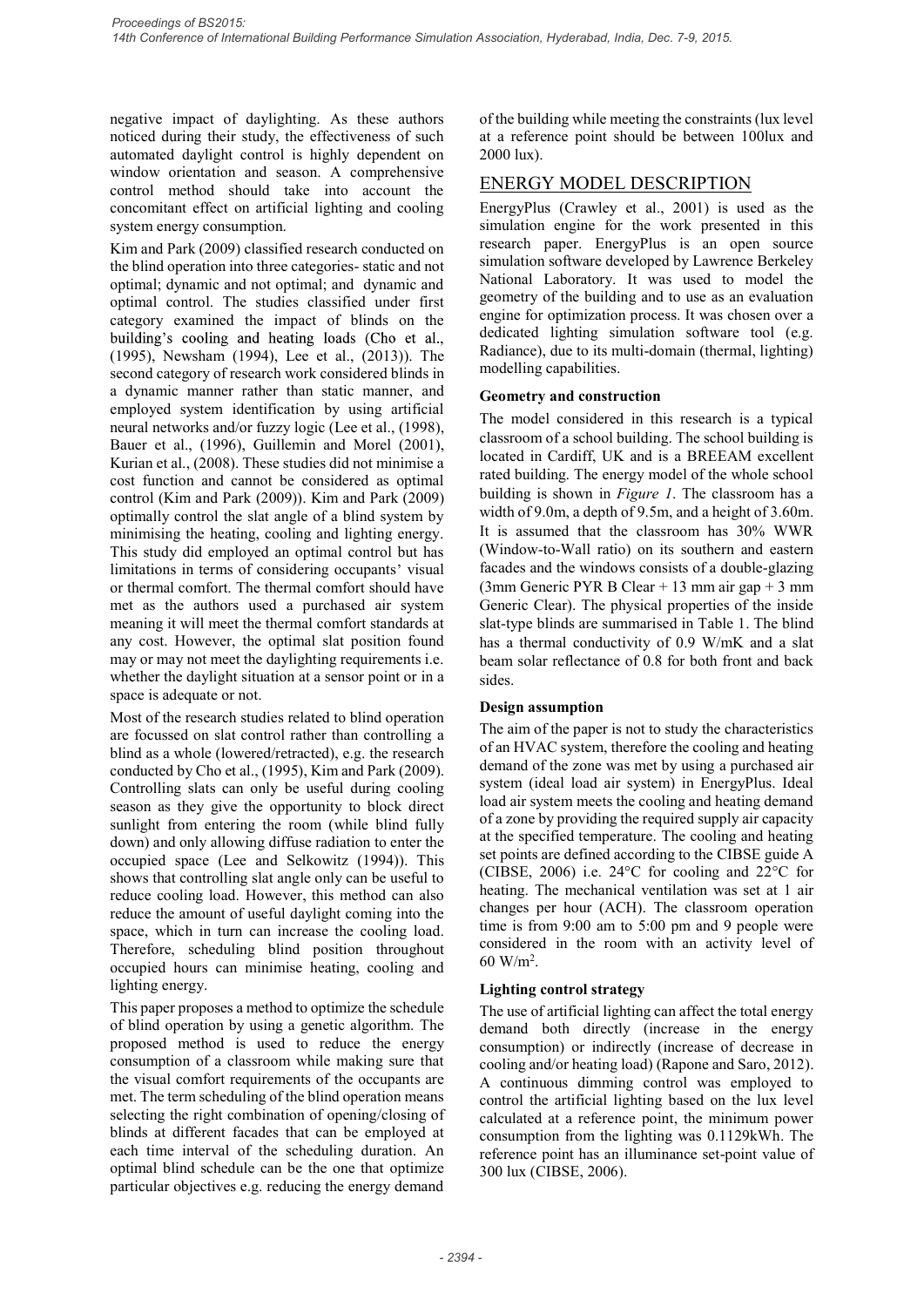negative impact of daylighting. As these authors noticed during their study, the effectiveness of such automated daylight control is highly dependent on window orientation and season. A comprehensive control method should take into account the concomitant effect on artificial lighting and cooling system energy consumption.

Kim and Park (2009) classified research conducted on the blind operation into three categories- static and not optimal; dynamic and not optimal; and dynamic and optimal control. The studies classified under first category examined the impact of blinds on the (1995), Newsham (1994), Lee et al., (2013)). The second category of research work considered blinds in a dynamic manner rather than static manner, and employed system identification by using artificial neural networks and/or fuzzy logic (Lee et al., (1998), megative impact of daylighting. As these suthors<br>noticed during their study, the effectiveness of the building while meeting the constraints (automated daylight control is highly dependent on<br>automated daylight control is megative impact of daylighting. As these authors<br>
orthe building while meeting the constraints<br>
noticed during their study, the effectiveness of such<br>
at a reference point should be between 10<br>
uvindow orientation and sea cost function and cannot be considered as optimal control (Kim and Park (2009)). Kim and Park (2009) optimally control the slat angle of a blind system by minimising the heating, cooling and lighting energy. This study did employed an optimal control but has limitations in terms of considering occupants' visual or thermal comfort. The thermal comfort should have met as the authors used a purchased air system meaning it will meet the thermal comfort standards at any cost. However, the optimal slat position found has a thermal conductivity of 0.9 W/mK and a slat may or may not meet the daylighting requirements i.e. whether the daylight situation at a sensor point or in a space is adequate or not.

Most of the research studies related to blind operation are focussed on slat control rather than controlling a blind as a whole (lowered/retracted), e.g. the research of an HVAC system, therefore the cooling and heating<br>conducted by Cho et al. (1995) Kim and Park (2009) demand of the zone was met by using a purchased air conducted by Cho et al., (1995), Kim and Park (2009). Controlling slats can only be useful during cooling season as they give the opportunity to block direct sunlight from entering the room (while blind fully down) and only allowing diffuse radiation to enter the occupied space (Lee and Selkowitz (1994)). This shows that controlling slat angle only can be useful to reduce cooling load. However, this method can also reduce the amount of useful daylight coming into the space, which in turn can increase the cooling load. Therefore, scheduling blind position throughout occupied hours can minimise heating, cooling and lighting energy.

This paper proposes a method to optimize the schedule of blind operation by using a genetic algorithm. The proposed method is used to reduce the energy consumption of a classroom while making sure that the visual comfort requirements of the occupants are met. The term scheduling of the blind operation means selecting the right combination of opening/closing of calculated at a reference point, the minimum power blinds at different facades that can be employed at each time interval of the scheduling duration. An optimal blind schedule can be the one that optimize particular objectives e.g. reducing the energy demand

of the building while meeting the constraints (lux level at a reference point should be between 100lux and 2000 lux).

# ENERGY MODEL DESCRIPTION

EnergyPlus (Crawley et al., 2001) is used as the simulation engine for the work presented in this research paper. EnergyPlus is an open source simulation software developed by Lawrence Berkeley National Laboratory. It was used to model the geometry of the building and to use as an evaluation engine for optimization process. It was chosen over a dedicated lighting simulation software tool (e.g. Radiance), due to its multi-domain (thermal, lighting) modelling capabilities.

#### Geometry and construction

The model considered in this research is a typical classroom of a school building. The school building is located in Cardiff, UK and is a BREEAM excellent rated building. The energy model of the whole school building is shown in  $Figure 1$ . The classroom has a width of 9.0m, a depth of 9.5m, and a height of 3.60m. It is assumed that the classroom has 30% WWR (Window-to-Wall ratio) on its southern and eastern facades and the windows consists of a double-glazing (3mm Generic PYR B Clear + 13 mm air gap + 3 mm Generic Clear). The physical properties of the inside simulation engine for the work presented in this<br>research apper. EnergyPlus is an open source<br>simulation software developed by Lawrence Berkeley<br>National Laboratory. It was used to model the<br>geometry of the building and to research paper. EnergyPlus is an open source<br>
simulation software developed by Lawrence Berkeley<br>
Simulation software developed by Lawrence Berkeley<br>
National Laboratory. It was used to model the<br>
geometry of the building beam solar reflectance of 0.8 for both front and back sides. modelling capabilities.<br>
Geometry and constitute in this research is a typical<br>
The model considered in this research is a typical<br>
clocated in Cardiff, UK and is a BREEAM excellent<br>
rated building. The energy model of the

### Design assumption

The aim of the paper is not to study the characteristics of an HVAC system, therefore the cooling and heating system (ideal load air system) in EnergyPlus. Ideal load air system meets the cooling and heating demand of a zone by providing the required supply air capacity at the specified temperature. The cooling and heating set points are defined according to the CIBSE guide A (CIBSE, 2006) i.e. 24°C for cooling and 22°C for heating. The mechanical ventilation was set at 1 air changes per hour (ACH). The classroom operation time is from 9:00 am to 5:00 pm and 9 people were considered in the room with an activity level of  $60 \text{ W/m}^2$ . . The aim of the paper is not to study the characteristics<br>of an HVAC system, therefore the cooling and heating<br>demand of the zone was met by using a purchased air<br>system (ideal load air system) in EnergyPlus. Ideal<br>load ai

### Lighting control strategy

The use of artificial lighting can affect the total energy demand both directly (increase in the energy consumption) or indirectly (increase of decrease in cooling and/or heating load) (Rapone and Saro, 2012). A continuous dimming control was employed to control the artificial lighting based on the lux level consumption from the lighting was 0.1129kWh. The reference point has an illuminance set-point value of 300 lux (CIBSE, 2006).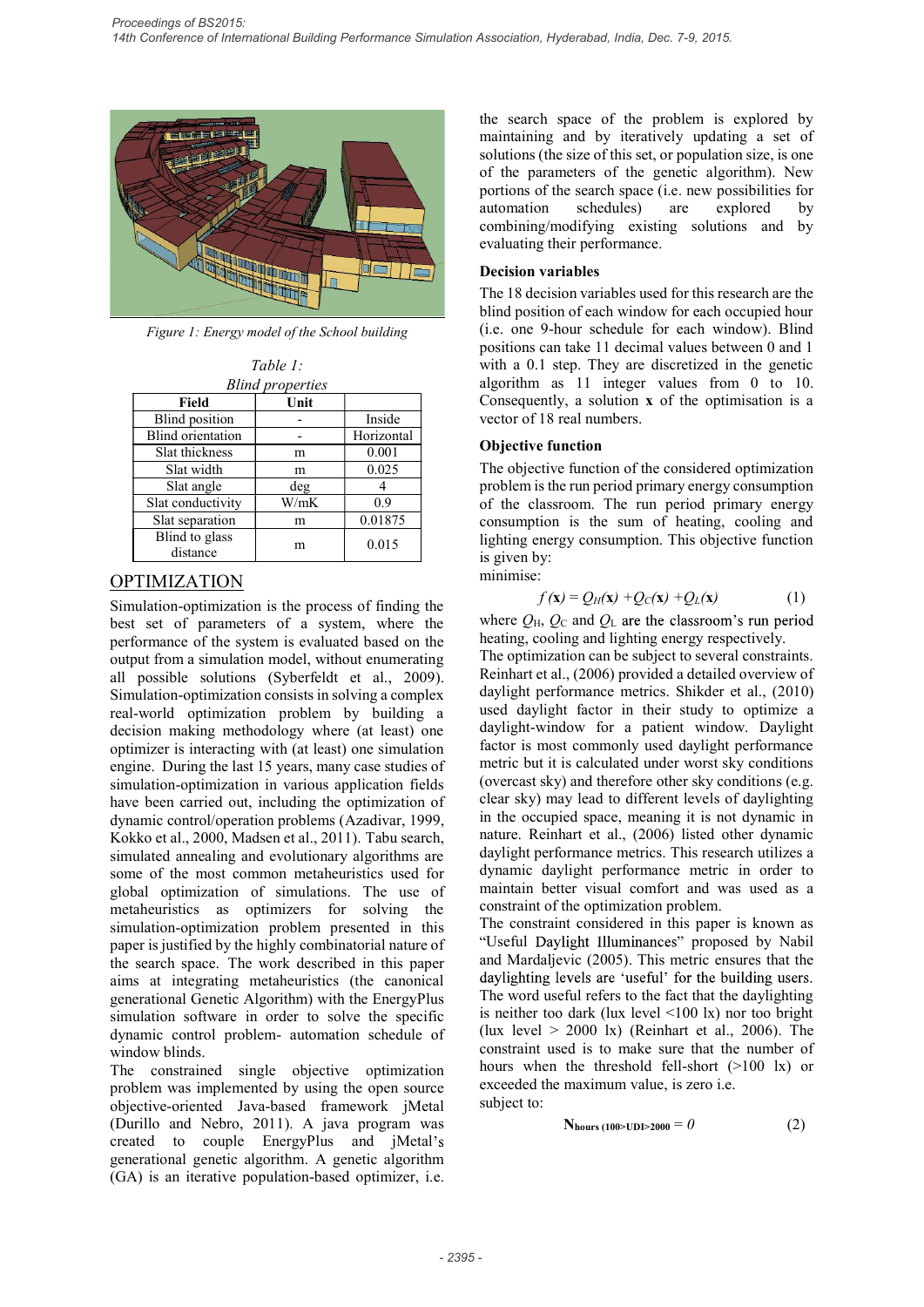

Figure 1: Energy model of the School building

Table 1:

|                            | <b>Blind properties</b> |            |
|----------------------------|-------------------------|------------|
| Field                      | Unit                    |            |
| <b>Blind</b> position      |                         | Inside     |
| Blind orientation          |                         | Horizontal |
| Slat thickness             | m                       | 0.001      |
| Slat width                 | m                       | 0.025      |
| Slat angle                 | deg                     |            |
| Slat conductivity          | W/mK                    | 0.9        |
| Slat separation            | m                       | 0.01875    |
| Blind to glass<br>distance | m                       | 0.015      |

# OPTIMIZATION

Simulation-optimization is the process of finding the best set of parameters of a system, where the performance of the system is evaluated based on the output from a simulation model, without enumerating all possible solutions (Syberfeldt et al., 2009). Simulation-optimization consists in solving a complex real-world optimization problem by building a decision making methodology where (at least) one optimizer is interacting with (at least) one simulation engine. During the last 15 years, many case studies of simulation-optimization in various application fields have been carried out, including the optimization of dynamic control/operation problems (Azadivar, 1999, For the mathemation and the mathematic orientation in the search of the considered in the principle of the distribution of the considered in the principle of the classroom. The run period primary energy control and the se simulated annealing and evolutionary algorithms are some of the most common metaheuristics used for global optimization of simulations. The use of metaheuristics as optimizers for solving the simulation-optimization problem presented in this paper is justified by the highly combinatorial nature of the search space. The work described in this paper and Mardaljevic (2005). This metric ensures that the aims at integrating metabeuristics (the canonical daylighting levels are 'useful' for the building users. aims at integrating metaheuristics (the canonical generational Genetic Algorithm) with the EnergyPlus simulation software in order to solve the specific dynamic control problem- automation schedule of window blinds. engine. During the last 15 years, many case studies of metric is it is calculated under worst sky conditions (in the selection fields in worious application for the issue ben carried out, including the optimization of cle

The constrained single objective optimization problem was implemented by using the open source objective-oriented Java-based framework jMetal (Durillo and Nebro, 2011). A java program was created to couple EnergyPlus and jMetal's (GA) is an iterative population-based optimizer, i.e.

the search space of the problem is explored by maintaining and by iteratively updating a set of solutions (the size of this set, or population size, is one of the parameters of the genetic algorithm). New portions of the search space (i.e. new possibilities for automation schedules) are explored by combining/modifying existing solutions and by evaluating their performance.

#### Decision variables

The 18 decision variables used for this research are the blind position of each window for each occupied hour (i.e. one 9-hour schedule for each window). Blind positions can take 11 decimal values between 0 and 1 with a 0.1 step. They are discretized in the genetic algorithm as 11 integer values from 0 to 10. Consequently, a solution x of the optimisation is a vector of 18 real numbers. Fund scheet (i.e., now possibility and by g/modifying existing solutions and by g/modifying existing solutions and by gtheir performance.<br> **variables** (i.e., now the calculate for this research are the 9-hour schedule for

### Objective function

The objective function of the considered optimization problem is the run period primary energy consumption of the classroom. The run period primary energy consumption is the sum of heating, cooling and lighting energy consumption. This objective function is given by:

minimise:

$$
f(\mathbf{x}) = Q_H(\mathbf{x}) + Q_C(\mathbf{x}) + Q_L(\mathbf{x})
$$
 (1)

where  $Q_H$ ,  $Q_C$  and  $Q_L$  are the classroom's run period heating, cooling and lighting energy respectively.

The optimization can be subject to several constraints. Reinhart et al., (2006) provided a detailed overview of daylight performance metrics. Shikder et al., (2010) used daylight factor in their study to optimize a daylight-window for a patient window. Daylight factor is most commonly used daylight performance metric but it is calculated under worst sky conditions (overcast sky) and therefore other sky conditions (e.g. clear sky) may lead to different levels of daylighting in the occupied space, meaning it is not dynamic in nature. Reinhart et al., (2006) listed other dynamic daylight performance metrics. This research utilizes a dynamic daylight performance metric in order to maintain better visual comfort and was used as a constraint of the optimization problem.

The constraint considered in this paper is known as "Useful Daylight Illuminances" proposed by Nabil and Mardaljevic (2005). This metric ensures that the The word useful refers to the fact that the daylighting is neither too dark (lux level <100 lx) nor too bright (lux level  $> 2000$  lx) (Reinhart et al., 2006). The constraint used is to make sure that the number of hours when the threshold fell-short (>100 lx) or exceeded the maximum value, is zero i.e. subject to:

$$
Nhours (100>UDI>2000 = 0
$$
 (2)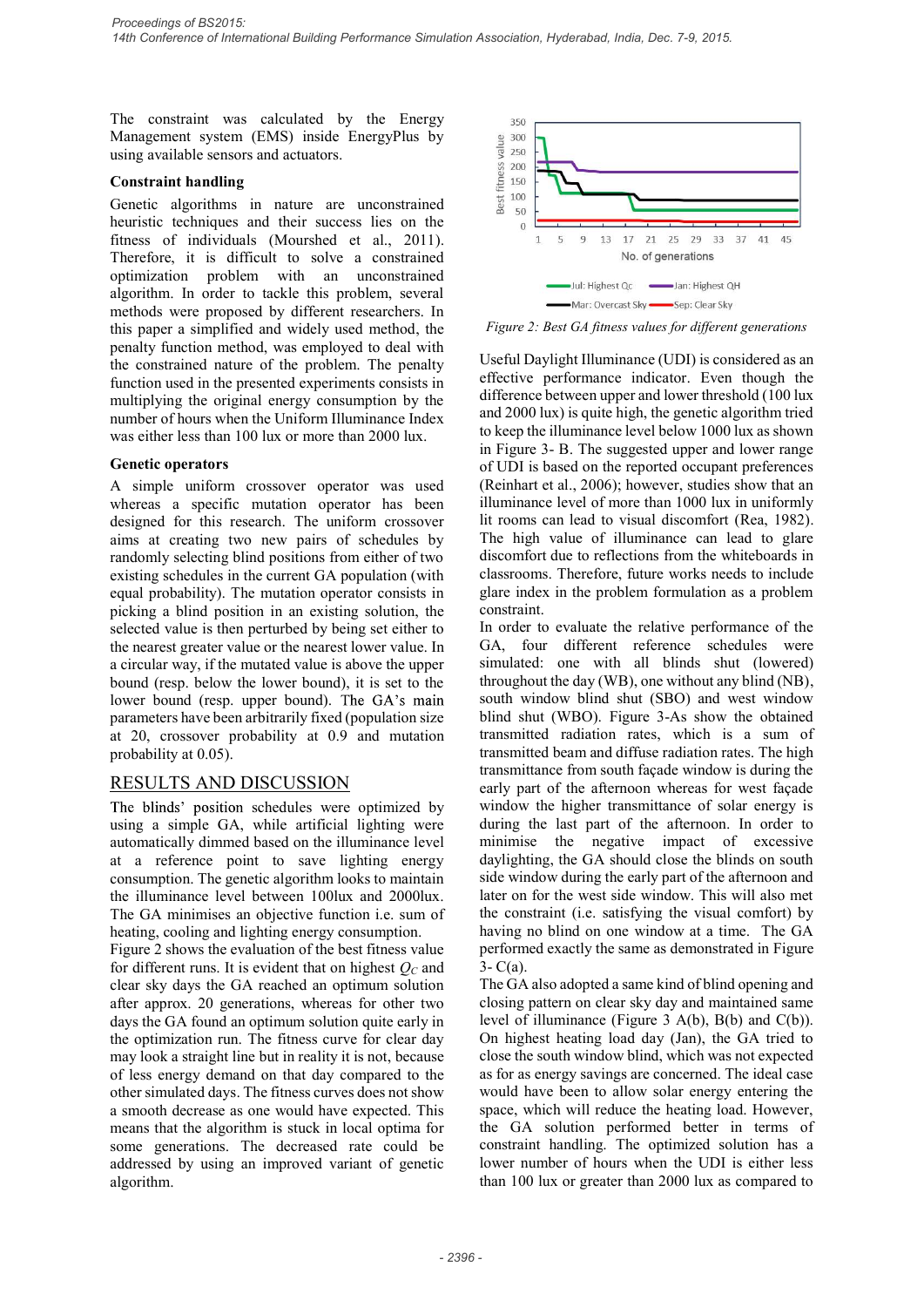The constraint was calculated by the Energy 350 Management system (EMS) inside EnergyPlus by<br>using available sensors and actuators.<br>Constraint handling<br>Genetic algorithms in nature are unconstrained<br> $\frac{60}{50}$ <br> $\frac{100}{50}$ using available sensors and actuators.

#### Constraint handling

Genetic algorithms in nature are unconstrained  $\frac{1}{8}$   $\frac{100}{50}$ heuristic techniques and their success lies on the fitness of individuals (Mourshed et al., 2011). Therefore, it is difficult to solve a constrained optimization problem with an unconstrained algorithm. In order to tackle this problem, several Mari Digital Linguistics Company of September of September 2014. The September of September 2014. The September of September 2014. The September of September 2014. The Se methods were proposed by different researchers. In Proceedings of BS2015:<br>
14th Conference of International Building Performance Simulation Association, Hyderabad, India, Dec. 7-9, 2015.<br>
14th Conference of International Building<br>
14th Conference of International actuator penalty function method, was employed to deal with the constrained nature of the problem. The penalty function used in the presented experiments consists in multiplying the original energy consumption by the difference between upper and lower threshold (100 lux<br>and 2000 lux) is quite high, the genetic algorithm tried number of hours when the Uniform Illuminance Index was either less than 100 lux or more than 2000 lux.

#### Genetic operators

whereas a specific mutation operator has been illuminance level of more than 1000 lux in uniformly designed for this research. The uniform crossover lit rooms can lead to visual discomfort (Rea, 1982). designed for this research. The uniform crossover aims at creating two new pairs of schedules by randomly selecting blind positions from either of two<br>existing schedules in the current GA population (with classrooms. Therefore, future works needs to include existing schedules in the current GA population (with equal probability). The mutation operator consists in selected value is then perturbed by being set either to the nearest greater value or the nearest lower value. In GA, four different reference schedules were a circular way, if the mutated value is above the upper simulated: one with all blinds shut (lowered) a circular way, if the mutated value is above the upper bound (resp. below the lower bound), it is set to the lower bound (resp. upper bound). The GA's main parameters have been arbitrarily fixed (population size at 20, crossover probability at 0.9 and mutation probability at 0.05).

## RESULTS AND DISCUSSION

The blinds' position schedules were optimized by using a simple GA, while artificial lighting were automatically dimmed based on the illuminance level at a reference point to save lighting energy consumption. The genetic algorithm looks to maintain the illuminance level between 100lux and 2000lux. The GA minimises an objective function i.e. sum of heating, cooling and lighting energy consumption.

Figure 2 shows the evaluation of the best fitness value for different runs. It is evident that on highest  $O<sub>C</sub>$  and clear sky days the GA reached an optimum solution after approx. 20 generations, whereas for other two days the GA found an optimum solution quite early in the optimization run. The fitness curve for clear day may look a straight line but in reality it is not, because of less energy demand on that day compared to the other simulated days. The fitness curves does not show a smooth decrease as one would have expected. This means that the algorithm is stuck in local optima for some generations. The decreased rate could be addressed by using an improved variant of genetic algorithm.



Figure 2: Best GA fitness values for different generations

A simple uniform crossover operator was used (Reinhart et al., 2006); however, studies show that an benefit the solution of the solution of the solution of the solution of the solution of the solution of the solution of the solution of the solution is the solution of the solution in the solution of the solution of the s Useful Daylight Illuminance (UDI) is considered as an effective performance indicator. Even though the difference between upper and lower threshold (100 lux to keep the illuminance level below 1000 lux as shown in Figure 3- B. The suggested upper and lower range of UDI is based on the reported occupant preferences <sup>350</sup><br>  $\frac{4}{3}$  <sup>360</sup><br>  $\frac{4}{3}$  <sup>260</sup><br>  $\frac{4}{3}$  <sup>260</sup><br>  $\frac{4}{3}$  <sup>160</sup><br>  $\frac{1}{3}$  <sup>15</sup> <sup>9</sup> <sup>13</sup> <sup>17</sup> <sup>21</sup> <sup>25</sup> <sup>29</sup> <sup>33</sup> <sup>37</sup> <sup>41</sup> <sup>45</sup><br>  $\frac{1}{3}$  Mo. of generations<br>  $\frac{1}{3}$  Mo. of generations<br>  $\frac{1}{3}$  Mo. of gene illuminance level of more than 1000 lux in uniformly lit rooms can lead to visual discomfort (Rea, 1982). The high value of illuminance can lead to glare discomfort due to reflections from the whiteboards in Let  $\frac{2}{3}$   $\frac{2}{3}$   $\frac{1}{30}$   $\frac{1}{1}$   $\frac{1}{5}$   $\frac{9}{9}$   $\frac{13}{13}$   $\frac{17}{12}$   $\frac{12}{25}$   $\frac{29}{29}$   $\frac{33}{37}$   $\frac{41}{45}$ <br>No. of generations<br> $\frac{1}{100}$   $\frac{1}{100}$   $\frac{1}{100}$   $\frac{1}{100}$   $\frac{1}{100}$   $\frac{1$ glare index in the problem formulation as a problem constraint. **Example 12**<br> **Example 11**<br> **Example 11**<br> **Example 12**<br> **Example 12**<br> **Example 12**<br> **Example 12**<br> **Example 12**<br> **Example 12**<br> **Example 12**<br> **Example 12**<br> **Example 12**<br> **Example 12**<br> **Example 12**<br> **Example 12**<br> **Example 12** 

In order to evaluate the relative performance of the GA, four different reference schedules were throughout the day (WB), one without any blind (NB), south window blind shut (SBO) and west window blind shut (WBO). Figure 3-As show the obtained transmitted radiation rates, which is a sum of transmitted beam and diffuse radiation rates. The high transmittance from south façade window is during the early part of the afternoon whereas for west façade window the higher transmittance of solar energy is during the last part of the afternoon. In order to minimise the negative impact of excessive daylighting, the GA should close the blinds on south side window during the early part of the afternoon and later on for the west side window. This will also met the constraint (i.e. satisfying the visual comfort) by having no blind on one window at a time. The GA performed exactly the same as demonstrated in Figure 3- C(a).

The GA also adopted a same kind of blind opening and closing pattern on clear sky day and maintained same level of illuminance (Figure 3 A(b), B(b) and C(b)). On highest heating load day (Jan), the GA tried to close the south window blind, which was not expected as for as energy savings are concerned. The ideal case would have been to allow solar energy entering the space, which will reduce the heating load. However, the GA solution performed better in terms of constraint handling. The optimized solution has a lower number of hours when the UDI is either less than 100 lux or greater than 2000 lux as compared to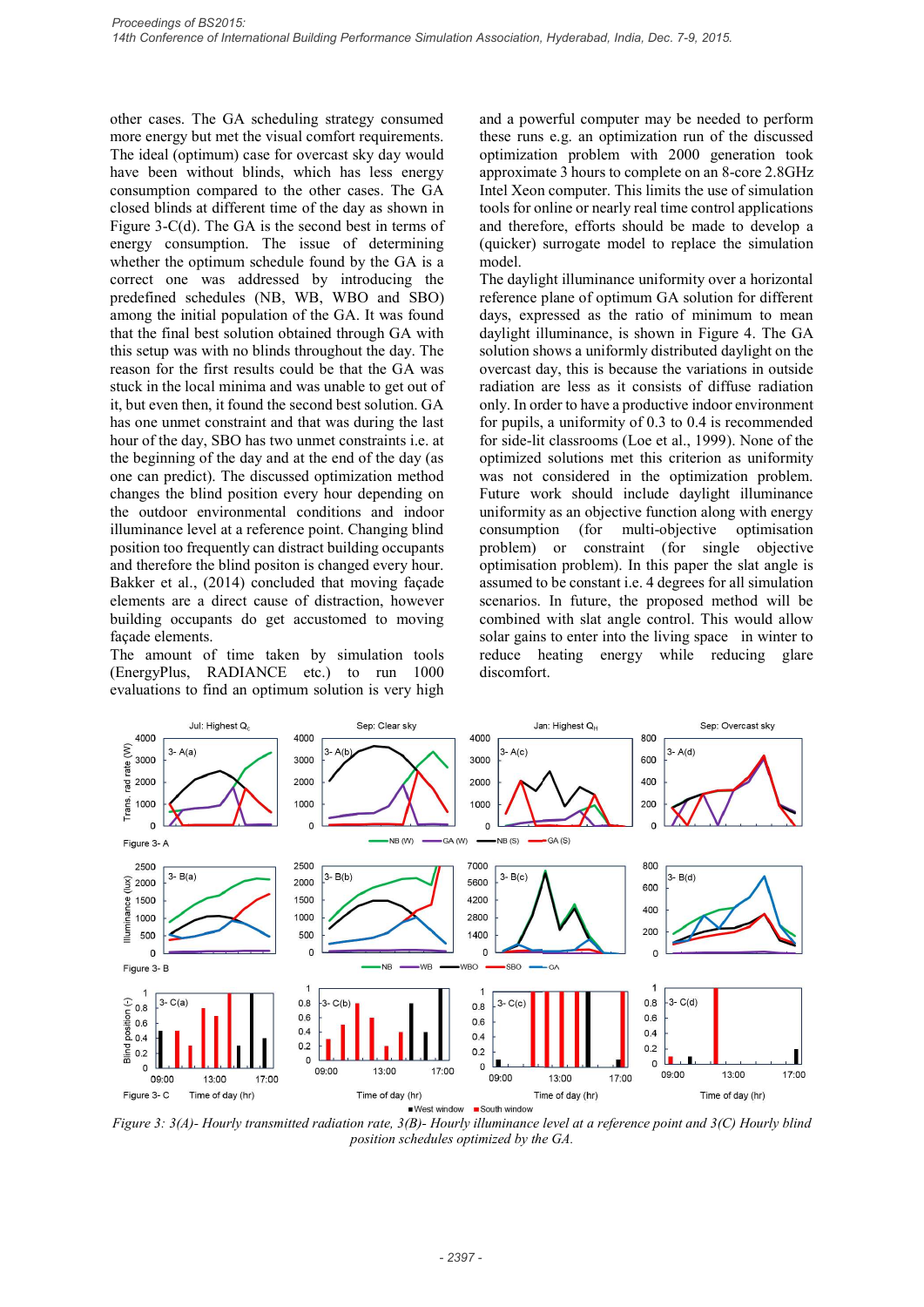other cases. The GA scheduling strategy consumed more energy but met the visual comfort requirements. The ideal (optimum) case for overcast sky day would have been without blinds, which has less energy consumption compared to the other cases. The GA closed blinds at different time of the day as shown in Figure 3-C(d). The GA is the second best in terms of energy consumption. The issue of determining whether the optimum schedule found by the GA is a correct one was addressed by introducing the predefined schedules (NB, WB, WBO and SBO) among the initial population of the GA. It was found that the final best solution obtained through GA with this setup was with no blinds throughout the day. The reason for the first results could be that the GA was stuck in the local minima and was unable to get out of it, but even then, it found the second best solution. GA has one unmet constraint and that was during the last hour of the day, SBO has two unmet constraints i.e. at the beginning of the day and at the end of the day (as one can predict). The discussed optimization method changes the blind position every hour depending on the outdoor environmental conditions and indoor illuminance level at a reference point. Changing blind position too frequently can distract building occupants and therefore the blind positon is changed every hour. Bakker et al., (2014) concluded that moving façade elements are a direct cause of distraction, however building occupants do get accustomed to moving façade elements.

The amount of time taken by simulation tools (EnergyPlus, RADIANCE etc.) to run 1000 evaluations to find an optimum solution is very high

and a powerful computer may be needed to perform these runs e.g. an optimization run of the discussed optimization problem with 2000 generation took approximate 3 hours to complete on an 8-core 2.8GHz Intel Xeon computer. This limits the use of simulation tools for online or nearly real time control applications and therefore, efforts should be made to develop a (quicker) surrogate model to replace the simulation model.

The daylight illuminance uniformity over a horizontal reference plane of optimum GA solution for different days, expressed as the ratio of minimum to mean Association, Hyderabad, India, Dec. 7-9, 2015.<br>
and a powerful computer may be needed to perform<br>
these runs e.g. an optimization run of the discussed<br>
optimization problem with 2000 generation took<br>
approximate 3 hours to solution shows a uniformly distributed daylight on the overcast day, this is because the variations in outside radiation are less as it consists of diffuse radiation only. In order to have a productive indoor environment for pupils, a uniformity of 0.3 to 0.4 is recommended for side-lit classrooms (Loe et al., 1999). None of the optimized solutions met this criterion as uniformity was not considered in the optimization problem. Future work should include daylight illuminance uniformity as an objective function along with energy (for multi-objective optimisation problem) or constraint (for single objective optimisation problem). In this paper the slat angle is assumed to be constant i.e. 4 degrees for all simulation scenarios. In future, the proposed method will be combined with slat angle control. This would allow solar gains to enter into the living space in winter to reduce heating energy while reducing glare discomfort.



Figure 3: 3(A)- Hourly transmitted radiation rate, 3(B)- Hourly illuminance level at a reference point and 3(C) Hourly blind position schedules optimized by the GA.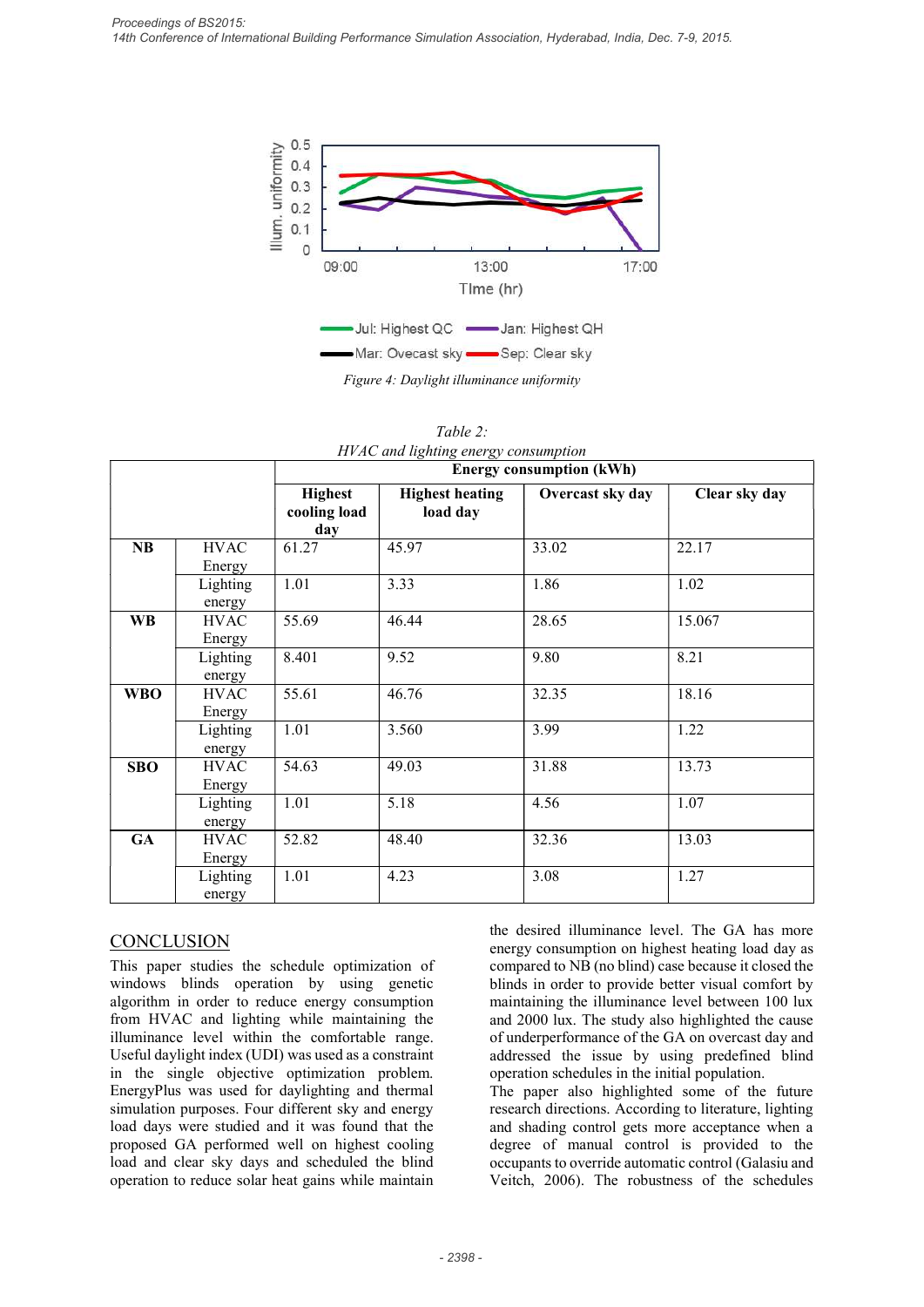

|            |                       | 0.5<br>Illum. uniformity<br>0.4<br>0.3<br>0.2<br>0.1<br>$\Omega$<br>09:00 | 13:00<br>Time (hr)<br>Jul: Highest QC - Jan: Highest QH<br>-Mar: Ovecast sky - Sep: Clear sky | 17:00                           |               |
|------------|-----------------------|---------------------------------------------------------------------------|-----------------------------------------------------------------------------------------------|---------------------------------|---------------|
|            |                       |                                                                           | Figure 4: Daylight illuminance uniformity<br>Table 2:<br>HVAC and lighting energy consumption |                                 |               |
|            |                       |                                                                           |                                                                                               | <b>Energy consumption (kWh)</b> |               |
|            |                       | <b>Highest</b><br>cooling load<br>day                                     | <b>Highest heating</b><br>load day                                                            | Overcast sky day                | Clear sky day |
| NB         | <b>HVAC</b>           | 61.27                                                                     | 45.97                                                                                         | 33.02                           | 22.17         |
|            | Energy<br>Lighting    | 1.01                                                                      | 3.33                                                                                          | 1.86                            | 1.02          |
| <b>WB</b>  | energy<br><b>HVAC</b> | 55.69                                                                     | 46.44                                                                                         | 28.65                           | 15.067        |
|            | Energy                |                                                                           |                                                                                               |                                 |               |
|            | Lighting<br>energy    | 8.401                                                                     | 9.52                                                                                          | 9.80                            | 8.21          |
| <b>WBO</b> | <b>HVAC</b>           | 55.61                                                                     | 46.76                                                                                         | 32.35                           | 18.16         |
|            | Energy<br>Lighting    | 1.01                                                                      | 3.560                                                                                         | 3.99                            | 1.22          |
|            | energy                |                                                                           |                                                                                               |                                 |               |
| <b>SBO</b> | <b>HVAC</b>           | 54.63                                                                     | 49.03                                                                                         | 31.88                           | 13.73         |
|            | Energy<br>Lighting    | 1.01                                                                      | 5.18                                                                                          | 4.56                            | 1.07          |
|            | energy                |                                                                           |                                                                                               |                                 |               |
| <b>GA</b>  | <b>HVAC</b>           | 52.82                                                                     | 48.40                                                                                         | 32.36                           | 13.03         |
|            | Energy<br>Lighting    | 1.01                                                                      | 4.23                                                                                          | 3.08                            | 1.27          |
|            |                       |                                                                           |                                                                                               |                                 |               |

Table 2: HVAC and lighting energy consumption

# **CONCLUSION**

This paper studies the schedule optimization of windows blinds operation by using genetic algorithm in order to reduce energy consumption from HVAC and lighting while maintaining the illuminance level within the comfortable range. Useful daylight index (UDI) was used as a constraint in the single objective optimization problem. EnergyPlus was used for daylighting and thermal simulation purposes. Four different sky and energy load days were studied and it was found that the proposed GA performed well on highest cooling load and clear sky days and scheduled the blind operation to reduce solar heat gains while maintain

the desired illuminance level. The GA has more energy consumption on highest heating load day as compared to NB (no blind) case because it closed the blinds in order to provide better visual comfort by maintaining the illuminance level between 100 lux and 2000 lux. The study also highlighted the cause of underperformance of the GA on overcast day and operation schedules in the initial population. 4.56 1.07<br>32.36 13.03<br>32.36 13.03<br>3.08 12.27<br>the desired illuminance level. The GA has more<br>energy consumption on highest heating load day as<br>compared to NB (no blind) case because it closed the<br>blinds in order to provide

The paper also highlighted some of the future research directions. According to literature, lighting and shading control gets more acceptance when a degree of manual control is provided to the occupants to override automatic control (Galasiu and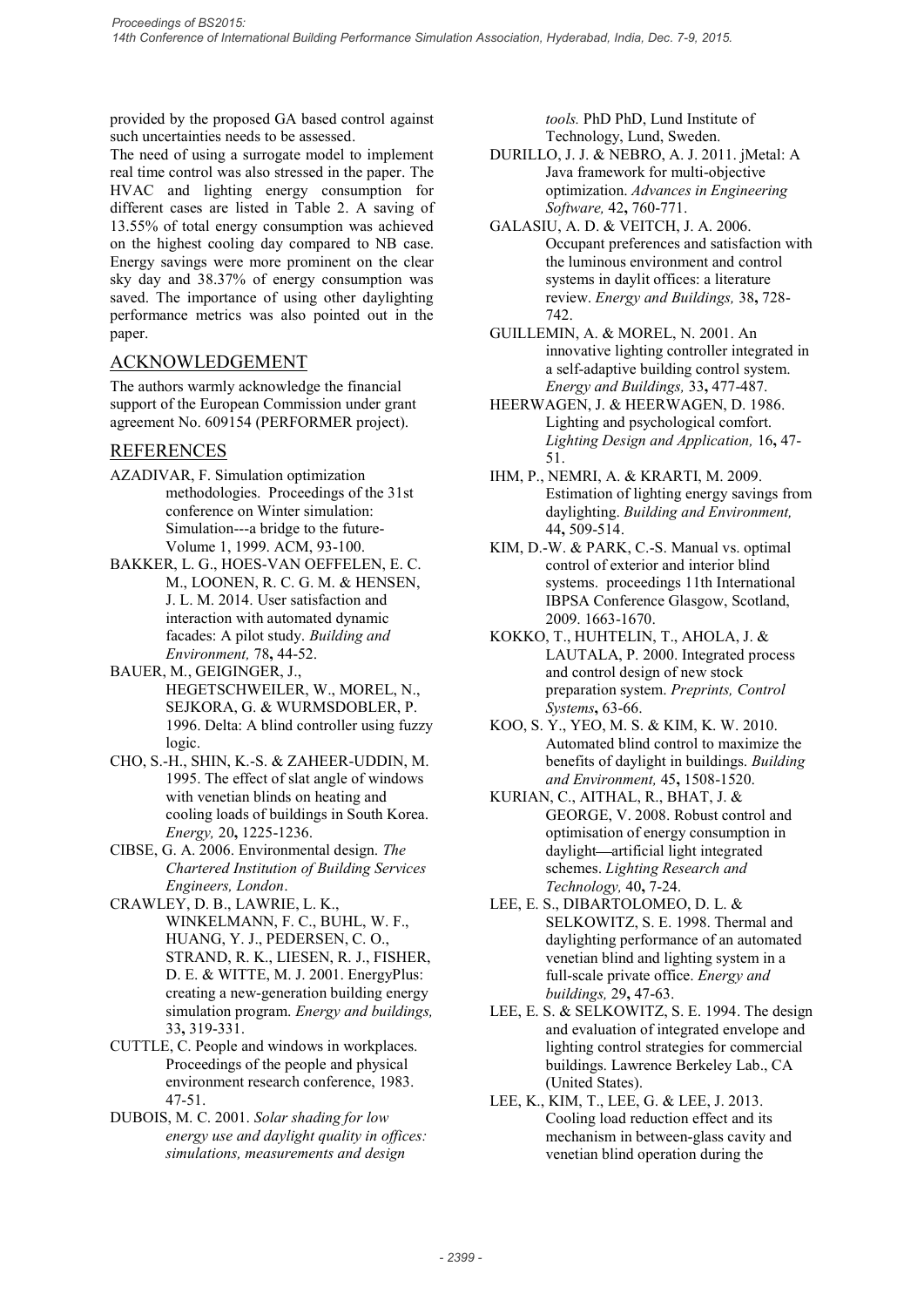provided by the proposed GA based control against such uncertainties needs to be assessed.

The need of using a surrogate model to implement real time control was also stressed in the paper. The HVAC and lighting energy consumption for *Proceedings of BS2015:*<br>
14th Conference of International Building Performance Simulation Association, Hyderabad, India, Dec. 7-9, 2015.<br>
14th Conference of Using a surrogate model to implement<br>
16th uncertainties needs t 13.55% of total energy consumption was achieved on the highest cooling day compared to NB case. Energy savings were more prominent on the clear sky day and 38.37% of energy consumption was saved. The importance of using other daylighting performance metrics was also pointed out in the paper.

## ACKNOWLEDGEMENT

The authors warmly acknowledge the financial support of the European Commission under grant agreement No. 609154 (PERFORMER project).

## REFERENCES

- AZADIVAR, F. Simulation optimization methodologies. Proceedings of the 31st conference on Winter simulation: Simulation---a bridge to the future-Volume 1, 1999. ACM, 93-100.
- BAKKER, L. G., HOES-VAN OEFFELEN, E. C. M., LOONEN, R. C. G. M. & HENSEN, J. L. M. 2014. User satisfaction and interaction with automated dynamic facades: A pilot study. Building and Environment, 78, 44-52.
- BAUER, M., GEIGINGER, J., HEGETSCHWEILER, W., MOREL, N., SEJKORA, G. & WURMSDOBLER, P. 1996. Delta: A blind controller using fuzzy logic.
- CHO, S.-H., SHIN, K.-S. & ZAHEER-UDDIN, M. 1995. The effect of slat angle of windows with venetian blinds on heating and cooling loads of buildings in South Korea. Energy, 20, 1225-1236.
- CIBSE, G. A. 2006. Environmental design. The Chartered Institution of Building Services Engineers, London. CRAWLEY, D. B., LAWRIE, L. K.,
- WINKELMANN, F. C., BUHL, W. F., HUANG, Y. J., PEDERSEN, C. O., STRAND, R. K., LIESEN, R. J., FISHER, D. E. & WITTE, M. J. 2001. EnergyPlus: creating a new-generation building energy simulation program. Energy and buildings, 33, 319-331.
- CUTTLE, C. People and windows in workplaces. Proceedings of the people and physical environment research conference, 1983. 47-51.
- DUBOIS, M. C. 2001. Solar shading for low energy use and daylight quality in offices: simulations, measurements and design

tools. PhD PhD, Lund Institute of Technology, Lund, Sweden.

- DURILLO, J. J. & NEBRO, A. J. 2011. jMetal: A Java framework for multi-objective optimization. Advances in Engineering Software, 42, 760-771.
- GALASIU, A. D. & VEITCH, J. A. 2006. Occupant preferences and satisfaction with the luminous environment and control systems in daylit offices: a literature review. Energy and Buildings, 38, 728- 742.
- GUILLEMIN, A. & MOREL, N. 2001. An innovative lighting controller integrated in a self-adaptive building control system. Energy and Buildings, 33, 477-487.
- HEERWAGEN, J. & HEERWAGEN, D. 1986. Lighting and psychological comfort. Lighting Design and Application, 16, 47- 51.
- IHM, P., NEMRI, A. & KRARTI, M. 2009. Estimation of lighting energy savings from daylighting. Building and Environment, 44, 509-514.
- KIM, D.-W. & PARK, C.-S. Manual vs. optimal control of exterior and interior blind systems. proceedings 11th International IBPSA Conference Glasgow, Scotland, 2009. 1663-1670.
- KOKKO, T., HUHTELIN, T., AHOLA, J. & LAUTALA, P. 2000. Integrated process and control design of new stock preparation system. Preprints, Control Systems, 63-66.
- KOO, S. Y., YEO, M. S. & KIM, K. W. 2010. Automated blind control to maximize the benefits of daylight in buildings. Building and Environment, 45, 1508-1520.
- KURIAN, C., AITHAL, R., BHAT, J. & GEORGE, V. 2008. Robust control and optimisation of energy consumption in daylight—artificial light integrated schemes. Lighting Research and Technology, 40, 7-24.
- LEE, E. S., DIBARTOLOMEO, D. L. & SELKOWITZ, S. E. 1998. Thermal and daylighting performance of an automated venetian blind and lighting system in a full-scale private office. Energy and buildings, 29, 47-63.
- LEE, E. S. & SELKOWITZ, S. E. 1994. The design and evaluation of integrated envelope and lighting control strategies for commercial buildings. Lawrence Berkeley Lab., CA (United States).
- LEE, K., KIM, T., LEE, G. & LEE, J. 2013. Cooling load reduction effect and its mechanism in between-glass cavity and venetian blind operation during the